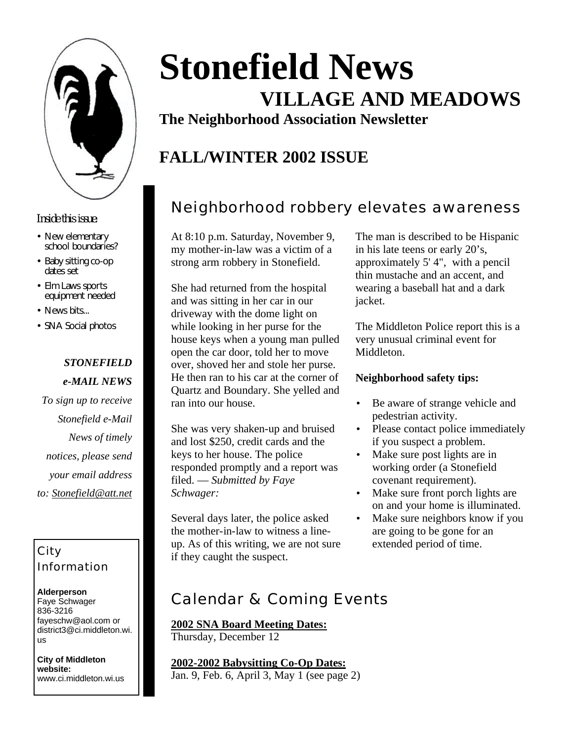

#### *Inside this issue:*

- New elementary school boundaries?
- Baby sitting co-op dates set
- Elm Laws sports equipment needed
- News bits...
- SNA Social photos

### *STONEFIELD e-MAIL NEWS*

*To sign up to receive Stonefield e-Mail News of timely notices, please send your email address to: Stonefield@att.net*

### City Information

**Alderperson** Faye Schwager 836-3216 fayeschw@aol.com or district3@ci.middleton.wi. us

**City of Middleton website:** www.ci.middleton.wi.us

# **Stonefield News VILLAGE AND MEADOWS**

**The Neighborhood Association Newsletter**

# **FALL/WINTER 2002 ISSUE**

## Neighborhood robbery elevates awareness

At 8:10 p.m. Saturday, November 9, my mother-in-law was a victim of a strong arm robbery in Stonefield.

She had returned from the hospital and was sitting in her car in our driveway with the dome light on while looking in her purse for the house keys when a young man pulled open the car door, told her to move over, shoved her and stole her purse. He then ran to his car at the corner of Quartz and Boundary. She yelled and ran into our house.

She was very shaken-up and bruised and lost \$250, credit cards and the keys to her house. The police responded promptly and a report was filed. — *Submitted by Faye Schwager:* 

Several days later, the police asked the mother-in-law to witness a lineup. As of this writing, we are not sure if they caught the suspect.

The man is described to be Hispanic in his late teens or early 20's, approximately 5' 4", with a pencil thin mustache and an accent, and wearing a baseball hat and a dark jacket.

The Middleton Police report this is a very unusual criminal event for Middleton.

#### **Neighborhood safety tips:**

- Be aware of strange vehicle and pedestrian activity.
- Please contact police immediately if you suspect a problem.
- Make sure post lights are in working order (a Stonefield covenant requirement).
- Make sure front porch lights are on and your home is illuminated.
- Make sure neighbors know if you are going to be gone for an extended period of time.

### Calendar & Coming Events

**2002 SNA Board Meeting Dates:** Thursday, December 12

**2002-2002 Babysitting Co-Op Dates:** Jan. 9, Feb. 6, April 3, May 1 (see page 2)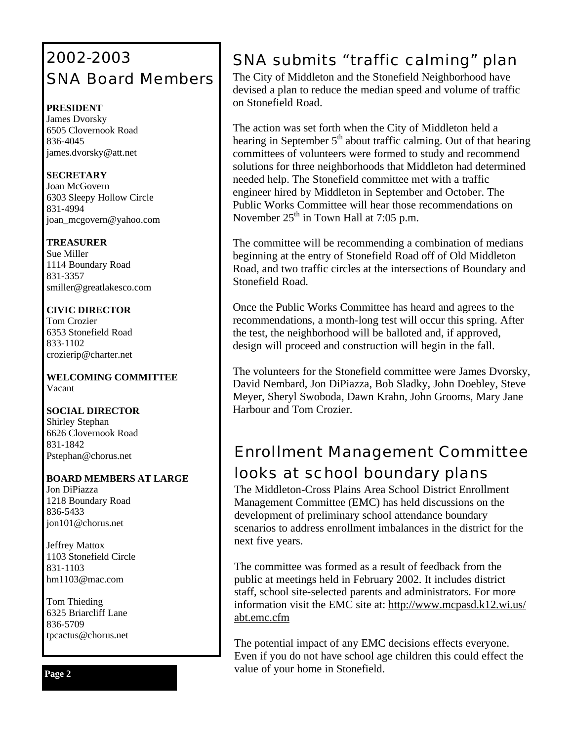# 2002-2003 SNA Board Members

### **PRESIDENT**

James Dvorsky 6505 Clovernook Road 836-4045 james.dvorsky@att.net

#### **SECRETARY**

Joan McGovern 6303 Sleepy Hollow Circle 831-4994 joan\_mcgovern@yahoo.com

### **TREASURER**

Sue Miller 1114 Boundary Road 831-3357 smiller@greatlakesco.com

### **CIVIC DIRECTOR**

Tom Crozier 6353 Stonefield Road 833-1102 crozierip@charter.net

**WELCOMING COMMITTEE** Vacant

#### **SOCIAL DIRECTOR**

Shirley Stephan 6626 Clovernook Road 831-1842 Pstephan@chorus.net

### **BOARD MEMBERS AT LARGE**

Jon DiPiazza 1218 Boundary Road 836-5433 jon101@chorus.net

Jeffrey Mattox 1103 Stonefield Circle 831-1103 hm1103@mac.com

Tom Thieding 6325 Briarcliff Lane 836-5709 tpcactus@chorus.net

# SNA submits "traffic calming" plan

The City of Middleton and the Stonefield Neighborhood have devised a plan to reduce the median speed and volume of traffic on Stonefield Road.

The action was set forth when the City of Middleton held a hearing in September  $5<sup>th</sup>$  about traffic calming. Out of that hearing committees of volunteers were formed to study and recommend solutions for three neighborhoods that Middleton had determined needed help. The Stonefield committee met with a traffic engineer hired by Middleton in September and October. The Public Works Committee will hear those recommendations on November  $25<sup>th</sup>$  in Town Hall at 7:05 p.m.

The committee will be recommending a combination of medians beginning at the entry of Stonefield Road off of Old Middleton Road, and two traffic circles at the intersections of Boundary and Stonefield Road.

Once the Public Works Committee has heard and agrees to the recommendations, a month-long test will occur this spring. After the test, the neighborhood will be balloted and, if approved, design will proceed and construction will begin in the fall.

The volunteers for the Stonefield committee were James Dvorsky, David Nembard, Jon DiPiazza, Bob Sladky, John Doebley, Steve Meyer, Sheryl Swoboda, Dawn Krahn, John Grooms, Mary Jane Harbour and Tom Crozier.

# Enrollment Management Committee looks at school boundary plans

The Middleton-Cross Plains Area School District Enrollment Management Committee (EMC) has held discussions on the development of preliminary school attendance boundary scenarios to address enrollment imbalances in the district for the next five years.

The committee was formed as a result of feedback from the public at meetings held in February 2002. It includes district staff, school site-selected parents and administrators. For more information visit the EMC site at: http://www.mcpasd.k12.wi.us/ abt.emc.cfm

The potential impact of any EMC decisions effects everyone. Even if you do not have school age children this could effect the value of your home in Stonefield.

**Page 2**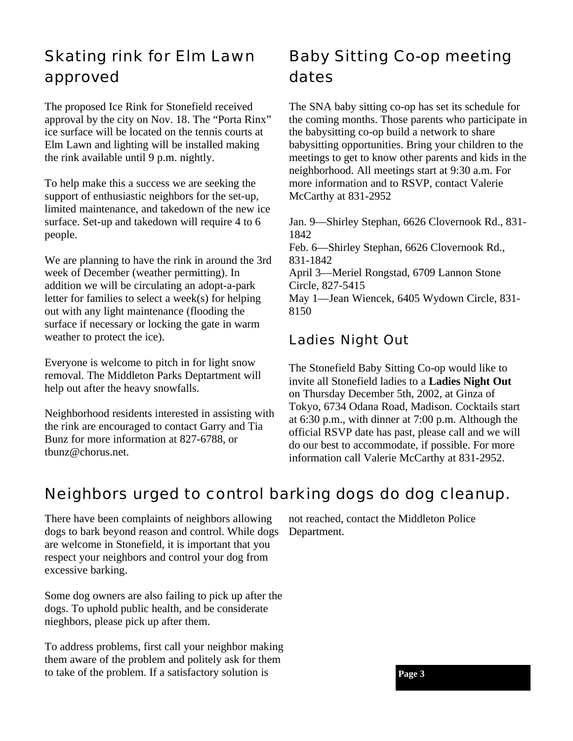## Skating rink for Elm Lawn approved

The proposed Ice Rink for Stonefield received approval by the city on Nov. 18. The "Porta Rinx" ice surface will be located on the tennis courts at Elm Lawn and lighting will be installed making the rink available until 9 p.m. nightly.

To help make this a success we are seeking the support of enthusiastic neighbors for the set-up, limited maintenance, and takedown of the new ice surface. Set-up and takedown will require 4 to 6 people.

We are planning to have the rink in around the 3rd week of December (weather permitting). In addition we will be circulating an adopt-a-park letter for families to select a week(s) for helping out with any light maintenance (flooding the surface if necessary or locking the gate in warm weather to protect the ice).

Everyone is welcome to pitch in for light snow removal. The Middleton Parks Deptartment will help out after the heavy snowfalls.

Neighborhood residents interested in assisting with the rink are encouraged to contact Garry and Tia Bunz for more information at 827-6788, or tbunz@chorus.net.

# Baby Sitting Co-op meeting dates

The SNA baby sitting co-op has set its schedule for the coming months. Those parents who participate in the babysitting co-op build a network to share babysitting opportunities. Bring your children to the meetings to get to know other parents and kids in the neighborhood. All meetings start at 9:30 a.m. For more information and to RSVP, contact Valerie McCarthy at 831-2952

Jan. 9—Shirley Stephan, 6626 Clovernook Rd., 831- 1842 Feb. 6—Shirley Stephan, 6626 Clovernook Rd., 831-1842 April 3—Meriel Rongstad, 6709 Lannon Stone Circle, 827-5415 May 1—Jean Wiencek, 6405 Wydown Circle, 831- 8150

### Ladies Night Out

The Stonefield Baby Sitting Co-op would like to invite all Stonefield ladies to a **Ladies Night Out** on Thursday December 5th, 2002, at Ginza of Tokyo, 6734 Odana Road, Madison. Cocktails start at 6:30 p.m., with dinner at 7:00 p.m. Although the official RSVP date has past, please call and we will do our best to accommodate, if possible. For more information call Valerie McCarthy at 831-2952.

### Neighbors urged to control barking dogs do dog cleanup.

There have been complaints of neighbors allowing dogs to bark beyond reason and control. While dogs are welcome in Stonefield, it is important that you respect your neighbors and control your dog from excessive barking.

Some dog owners are also failing to pick up after the dogs. To uphold public health, and be considerate nieghbors, please pick up after them.

To address problems, first call your neighbor making them aware of the problem and politely ask for them to take of the problem. If a satisfactory solution is

not reached, contact the Middleton Police Department.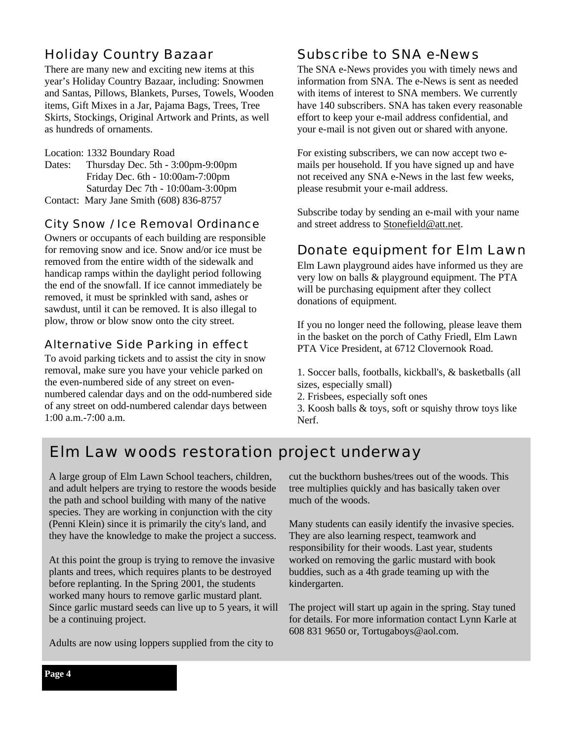### Holiday Country Bazaar

There are many new and exciting new items at this year's Holiday Country Bazaar, including: Snowmen and Santas, Pillows, Blankets, Purses, Towels, Wooden items, Gift Mixes in a Jar, Pajama Bags, Trees, Tree Skirts, Stockings, Original Artwork and Prints, as well as hundreds of ornaments.

Location: 1332 Boundary Road Dates: Thursday Dec. 5th - 3:00pm-9:00pm Friday Dec. 6th - 10:00am-7:00pm Saturday Dec 7th - 10:00am-3:00pm Contact: Mary Jane Smith (608) 836-8757

### City Snow / Ice Removal Ordinance

Owners or occupants of each building are responsible for removing snow and ice. Snow and/or ice must be removed from the entire width of the sidewalk and handicap ramps within the daylight period following the end of the snowfall. If ice cannot immediately be removed, it must be sprinkled with sand, ashes or sawdust, until it can be removed. It is also illegal to plow, throw or blow snow onto the city street.

### Alternative Side Parking in effect

To avoid parking tickets and to assist the city in snow removal, make sure you have your vehicle parked on the even-numbered side of any street on evennumbered calendar days and on the odd-numbered side of any street on odd-numbered calendar days between 1:00 a.m.-7:00 a.m.

### Subscribe to SNA e-News

The SNA e-News provides you with timely news and information from SNA. The e-News is sent as needed with items of interest to SNA members. We currently have 140 subscribers. SNA has taken every reasonable effort to keep your e-mail address confidential, and your e-mail is not given out or shared with anyone.

For existing subscribers, we can now accept two emails per household. If you have signed up and have not received any SNA e-News in the last few weeks, please resubmit your e-mail address.

Subscribe today by sending an e-mail with your name and street address to Stonefield@att.net.

### Donate equipment for Elm Lawn

Elm Lawn playground aides have informed us they are very low on balls & playground equipment. The PTA will be purchasing equipment after they collect donations of equipment.

If you no longer need the following, please leave them in the basket on the porch of Cathy Friedl, Elm Lawn PTA Vice President, at 6712 Clovernook Road.

1. Soccer balls, footballs, kickball's, & basketballs (all sizes, especially small)

2. Frisbees, especially soft ones

3. Koosh balls & toys, soft or squishy throw toys like Nerf.

### Elm Law woods restoration project underway

A large group of Elm Lawn School teachers, children, and adult helpers are trying to restore the woods beside the path and school building with many of the native species. They are working in conjunction with the city (Penni Klein) since it is primarily the city's land, and they have the knowledge to make the project a success.

At this point the group is trying to remove the invasive plants and trees, which requires plants to be destroyed before replanting. In the Spring 2001, the students worked many hours to remove garlic mustard plant. Since garlic mustard seeds can live up to 5 years, it will be a continuing project.

Adults are now using loppers supplied from the city to

cut the buckthorn bushes/trees out of the woods. This tree multiplies quickly and has basically taken over much of the woods.

Many students can easily identify the invasive species. They are also learning respect, teamwork and responsibility for their woods. Last year, students worked on removing the garlic mustard with book buddies, such as a 4th grade teaming up with the kindergarten.

The project will start up again in the spring. Stay tuned for details. For more information contact Lynn Karle at 608 831 9650 or, Tortugaboys@aol.com.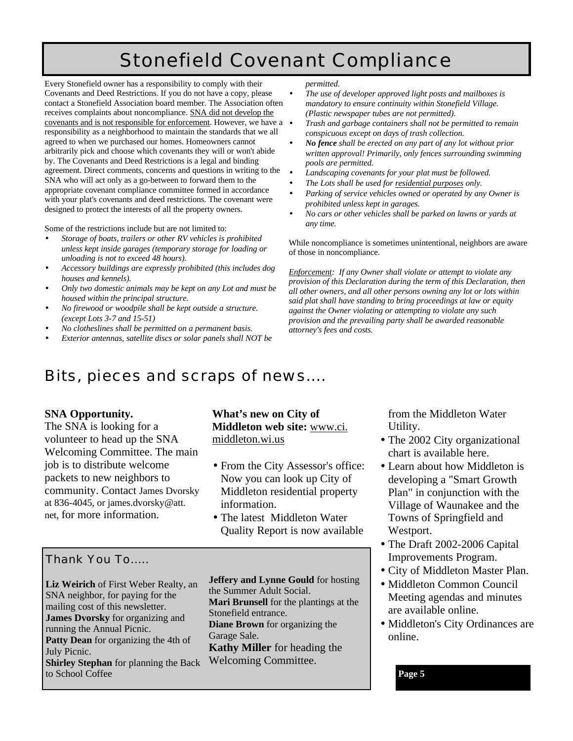# Stonefield Covenant Compliance

Every Stonefield owner has a responsibility to comply with their Covenants and Deed Restrictions. If you do not have a copy, please contact a Stonefield Association board member. The Association often receives complaints about noncompliance. SNA did not develop the covenants and is not responsible for enforcement. However, we have a responsibility as a neighborhood to maintain the standards that we all agreed to when we purchased our homes. Homeowners cannot arbitrarily pick and choose which covenants they will or won't abide by. The Covenants and Deed Restrictions is a legal and binding agreement. Direct comments, concerns and questions in writing to the SNA who will act only as a go-between to forward them to the appropriate covenant compliance committee formed in accordance with your plat's covenants and deed restrictions. The covenant were designed to protect the interests of all the property owners.

Some of the restrictions include but are not limited to:

- *Storage of boats, trailers or other RV vehicles is prohibited unless kept inside garages (temporary storage for loading or unloading is not to exceed 48 hours).*
- *Accessory buildings are expressly prohibited (this includes dog houses and kennels).*
- *Only two domestic animals may be kept on any Lot and must be housed within the principal structure.*
- *No firewood or woodpile shall be kept outside a structure. (except Lots 3-7 and 15-51)*
- *No clotheslines shall be permitted on a permanent basis.*
- *Exterior antennas, satellite discs or solar panels shall NOT be*

*permitted.*

- *The use of developer approved light posts and mailboxes is mandatory to ensure continuity within Stonefield Village. (Plastic newspaper tubes are not permitted).*
- *Trash and garbage containers shall not be permitted to remain conspicuous except on days of trash collection.*
- *No fence shall be erected on any part of any lot without prior written approval! Primarily, only fences surrounding swimming pools are permitted.*
- *Landscaping covenants for your plat must be followed.*
- *The Lots shall be used for residential purposes only.*
- *Parking of service vehicles owned or operated by any Owner is prohibited unless kept in garages.*
- *No cars or other vehicles shall be parked on lawns or yards at any time.*

While noncompliance is sometimes unintentional, neighbors are aware of those in noncompliance.

*Enforcement: If any Owner shall violate or attempt to violate any provision of this Declaration during the term of this Declaration, then all other owners, and all other persons owning any lot or lots within said plat shall have standing to bring proceedings at law or equity against the Owner violating or attempting to violate any such provision and the prevailing party shall be awarded reasonable attorney's fees and costs.*

### Bits, pieces and scraps of news….

#### **SNA Opportunity.**

The SNA is looking for a volunteer to head up the SNA Welcoming Committee. The main job is to distribute welcome packets to new neighbors to community. Contact James Dvorsky at 836-4045, or james.dvorsky@att. net, for more information.

#### **What's new on City of Middleton web site:** www.ci. middleton.wi.us

- From the City Assessor's office: Now you can look up City of Middleton residential property information.
- The latest Middleton Water Quality Report is now available

### Thank You To…..

**Liz Weirich** of First Weber Realty, an SNA neighbor, for paying for the mailing cost of this newsletter. **James Dvorsky** for organizing and running the Annual Picnic. **Patty Dean** for organizing the 4th of July Picnic. **Shirley Stephan** for planning the Back to School Coffee

**Jeffery and Lynne Gould** for hosting the Summer Adult Social. **Mari Brunsell** for the plantings at the Stonefield entrance. **Diane Brown** for organizing the Garage Sale. **Kathy Miller** for heading the Welcoming Committee.

from the Middleton Water Utility.

- The 2002 City organizational chart is available here.
- Learn about how Middleton is developing a "Smart Growth Plan" in conjunction with the Village of Waunakee and the Towns of Springfield and Westport.
- The Draft 2002-2006 Capital Improvements Program.
- City of Middleton Master Plan.
- Middleton Common Council Meeting agendas and minutes are available online.
- Middleton's City Ordinances are online.